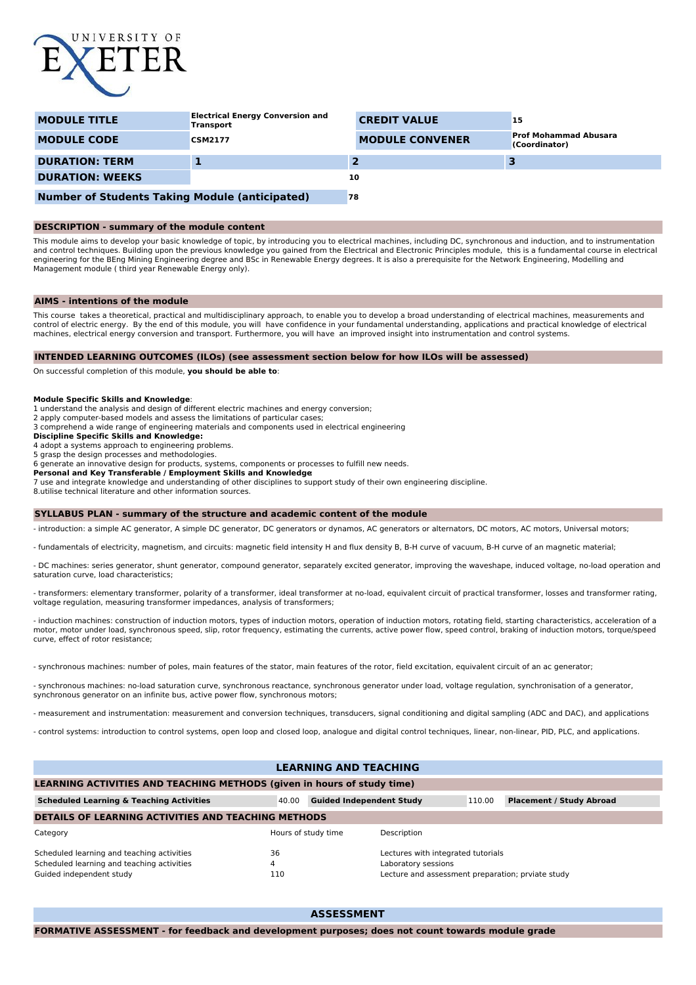

| <b>MODULE TITLE</b>                                   | <b>Electrical Energy Conversion and</b><br><b>Transport</b> | <b>CREDIT VALUE</b>    | 15                                            |
|-------------------------------------------------------|-------------------------------------------------------------|------------------------|-----------------------------------------------|
| <b>MODULE CODE</b>                                    | <b>CSM2177</b>                                              | <b>MODULE CONVENER</b> | <b>Prof Mohammad Abusara</b><br>(Coordinator) |
| <b>DURATION: TERM</b>                                 |                                                             |                        |                                               |
| <b>DURATION: WEEKS</b>                                |                                                             | 10                     |                                               |
| <b>Number of Students Taking Module (anticipated)</b> |                                                             | 78                     |                                               |

#### **DESCRIPTION - summary of the module content**

This module aims to develop your basic knowledge of topic, by introducing you to electrical machines, including DC, synchronous and induction, and to instrumentation and control techniques. Building upon the previous knowledge you gained from the Electrical and Electronic Principles module, this is a fundamental course in electrical<br>engineering for the BEng Mining Engineering degree an Management module ( third year Renewable Energy only).

## **AIMS - intentions of the module**

This course takes a theoretical, practical and multidisciplinary approach, to enable you to develop a broad understanding of electrical machines, measurements and control of electric energy. By the end of this module, you will have confidence in your fundamental understanding, applications and practical knowledge of electrical machines, electrical energy conversion and transport. Furthermore, you will have an improved insight into instrumentation and control systems.

## **INTENDED LEARNING OUTCOMES (ILOs) (see assessment section below for how ILOs will be assessed)**

On successful completion of this module, **you should be able to**:

#### **Module Specific Skills and Knowledge**:

1 understand the analysis and design of different electric machines and energy conversion;

2 apply computer-based models and assess the limitations of particular cases;

3 comprehend a wide range of engineering materials and components used in electrical engineering

## **Discipline Specific Skills and Knowledge:**

4 adopt a systems approach to engineering problems.

5 grasp the design processes and methodologies.

6 generate an innovative design for products, systems, components or processes to fulfill new needs.

# **Personal and Key Transferable / Employment Skills and Knowledge**:

7 use and integrate knowledge and understanding of other disciplines to support study of their own engineering discipline.

8.utilise technical literature and other information sources.

#### **SYLLABUS PLAN - summary of the structure and academic content of the module**

- introduction: a simple AC generator, A simple DC generator, DC generators or dynamos, AC generators or alternators, DC motors, AC motors, Universal motors;

- fundamentals of electricity, magnetism, and circuits: magnetic field intensity H and flux density B, B-H curve of vacuum, B-H curve of an magnetic material;

- DC machines: series generator, shunt generator, compound generator, separately excited generator, improving the waveshape, induced voltage, no-load operation and saturation curve, load characteristics;

- transformers: elementary transformer, polarity of a transformer, ideal transformer at no-load, equivalent circuit of practical transformer, losses and transformer rating, voltage regulation, measuring transformer impedances, analysis of transformers;

- induction machines: construction of induction motors, types of induction motors, operation of induction motors, rotating field, starting characteristics, acceleration of a motor, motor under load, synchronous speed, slip, rotor frequency, estimating the currents, active power flow, speed control, braking of induction motors, torque/speed curve, effect of rotor resistance;

- synchronous machines: number of poles, main features of the stator, main features of the rotor, field excitation, equivalent circuit of an ac generator;

- synchronous machines: no-load saturation curve, synchronous reactance, synchronous generator under load, voltage regulation, synchronisation of a generator, synchronous generator on an infinite bus, active power flow, synchronous motors;

- measurement and instrumentation: measurement and conversion techniques, transducers, signal conditioning and digital sampling (ADC and DAC), and applications

- control systems: introduction to control systems, open loop and closed loop, analogue and digital control techniques, linear, non-linear, PID, PLC, and applications.

# **LEARNING AND TEACHING**

| LEARNING ACTIVITIES AND TEACHING METHODS (given in hours of study time) |                     |                                                   |        |                                 |  |  |  |  |  |
|-------------------------------------------------------------------------|---------------------|---------------------------------------------------|--------|---------------------------------|--|--|--|--|--|
| <b>Scheduled Learning &amp; Teaching Activities</b>                     | 40.00               | <b>Guided Independent Study</b>                   | 110.00 | <b>Placement / Study Abroad</b> |  |  |  |  |  |
| <b>DETAILS OF LEARNING ACTIVITIES AND TEACHING METHODS</b>              |                     |                                                   |        |                                 |  |  |  |  |  |
| Category                                                                | Hours of study time | Description                                       |        |                                 |  |  |  |  |  |
| Scheduled learning and teaching activities                              | 36                  | Lectures with integrated tutorials                |        |                                 |  |  |  |  |  |
| Scheduled learning and teaching activities                              | 4                   | Laboratory sessions                               |        |                                 |  |  |  |  |  |
| Guided independent study                                                | 110                 | Lecture and assessment preparation; prviate study |        |                                 |  |  |  |  |  |

**ASSESSMENT**